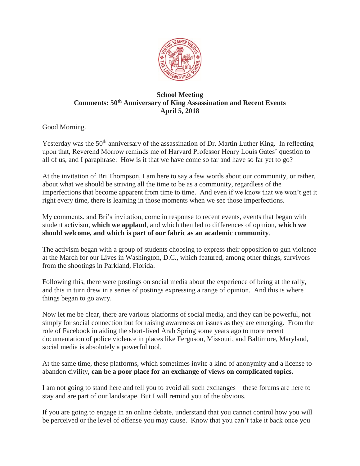

## **School Meeting Comments: 50th Anniversary of King Assassination and Recent Events April 5, 2018**

Good Morning.

Yesterday was the 50<sup>th</sup> anniversary of the assassination of Dr. Martin Luther King. In reflecting upon that, Reverend Morrow reminds me of Harvard Professor Henry Louis Gates' question to all of us, and I paraphrase: How is it that we have come so far and have so far yet to go?

At the invitation of Bri Thompson, I am here to say a few words about our community, or rather, about what we should be striving all the time to be as a community, regardless of the imperfections that become apparent from time to time. And even if we know that we won't get it right every time, there is learning in those moments when we see those imperfections.

My comments, and Bri's invitation, come in response to recent events, events that began with student activism, **which we applaud**, and which then led to differences of opinion, **which we should welcome, and which is part of our fabric as an academic community**.

The activism began with a group of students choosing to express their opposition to gun violence at the March for our Lives in Washington, D.C., which featured, among other things, survivors from the shootings in Parkland, Florida.

Following this, there were postings on social media about the experience of being at the rally, and this in turn drew in a series of postings expressing a range of opinion. And this is where things began to go awry.

Now let me be clear, there are various platforms of social media, and they can be powerful, not simply for social connection but for raising awareness on issues as they are emerging. From the role of Facebook in aiding the short-lived Arab Spring some years ago to more recent documentation of police violence in places like Ferguson, Missouri, and Baltimore, Maryland, social media is absolutely a powerful tool.

At the same time, these platforms, which sometimes invite a kind of anonymity and a license to abandon civility, **can be a poor place for an exchange of views on complicated topics.** 

I am not going to stand here and tell you to avoid all such exchanges – these forums are here to stay and are part of our landscape. But I will remind you of the obvious.

If you are going to engage in an online debate, understand that you cannot control how you will be perceived or the level of offense you may cause. Know that you can't take it back once you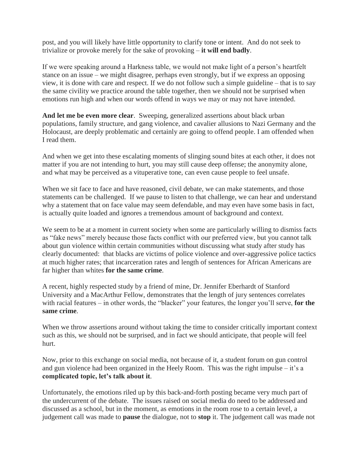post, and you will likely have little opportunity to clarify tone or intent. And do not seek to trivialize or provoke merely for the sake of provoking – **it will end badly**.

If we were speaking around a Harkness table, we would not make light of a person's heartfelt stance on an issue – we might disagree, perhaps even strongly, but if we express an opposing view, it is done with care and respect. If we do not follow such a simple guideline – that is to say the same civility we practice around the table together, then we should not be surprised when emotions run high and when our words offend in ways we may or may not have intended.

**And let me be even more clear**. Sweeping, generalized assertions about black urban populations, family structure, and gang violence, and cavalier allusions to Nazi Germany and the Holocaust, are deeply problematic and certainly are going to offend people. I am offended when I read them.

And when we get into these escalating moments of slinging sound bites at each other, it does not matter if you are not intending to hurt, you may still cause deep offense; the anonymity alone, and what may be perceived as a vituperative tone, can even cause people to feel unsafe.

When we sit face to face and have reasoned, civil debate, we can make statements, and those statements can be challenged. If we pause to listen to that challenge, we can hear and understand why a statement that on face value may seem defendable, and may even have some basis in fact, is actually quite loaded and ignores a tremendous amount of background and context.

We seem to be at a moment in current society when some are particularly willing to dismiss facts as "fake news" merely because those facts conflict with our preferred view, but you cannot talk about gun violence within certain communities without discussing what study after study has clearly documented: that blacks are victims of police violence and over-aggressive police tactics at much higher rates; that incarceration rates and length of sentences for African Americans are far higher than whites **for the same crime**.

A recent, highly respected study by a friend of mine, Dr. Jennifer Eberhardt of Stanford University and a MacArthur Fellow, demonstrates that the length of jury sentences correlates with racial features – in other words, the "blacker" your features, the longer you'll serve, **for the same crime**.

When we throw assertions around without taking the time to consider critically important context such as this, we should not be surprised, and in fact we should anticipate, that people will feel hurt.

Now, prior to this exchange on social media, not because of it, a student forum on gun control and gun violence had been organized in the Heely Room. This was the right impulse – it's a **complicated topic, let's talk about it**.

Unfortunately, the emotions riled up by this back-and-forth posting became very much part of the undercurrent of the debate. The issues raised on social media do need to be addressed and discussed as a school, but in the moment, as emotions in the room rose to a certain level, a judgement call was made to **pause** the dialogue, not to **stop** it. The judgement call was made not